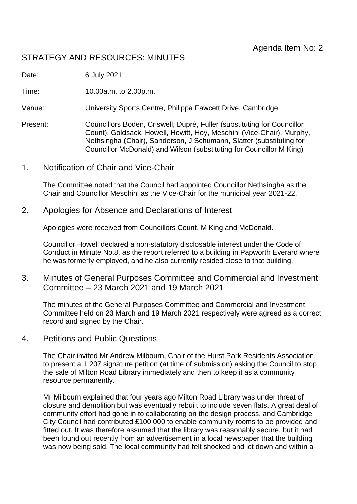# STRATEGY AND RESOURCES: MINUTES

Date: 6 July 2021

Time: 10.00a.m. to 2.00p.m.

Venue: University Sports Centre, Philippa Fawcett Drive, Cambridge

- Present: Councillors Boden, Criswell, Dupré, Fuller (substituting for Councillor Count), Goldsack, Howell, Howitt, Hoy, Meschini (Vice-Chair), Murphy, Nethsingha (Chair), Sanderson, J Schumann, Slatter (substituting for Councillor McDonald) and Wilson (substituting for Councillor M King)
- 1. Notification of Chair and Vice-Chair

The Committee noted that the Council had appointed Councillor Nethsingha as the Chair and Councillor Meschini as the Vice-Chair for the municipal year 2021-22.

2. Apologies for Absence and Declarations of Interest

Apologies were received from Councillors Count, M King and McDonald.

Councillor Howell declared a non-statutory disclosable interest under the Code of Conduct in Minute No.8, as the report referred to a building in Papworth Everard where he was formerly employed, and he also currently resided close to that building.

3. Minutes of General Purposes Committee and Commercial and Investment Committee – 23 March 2021 and 19 March 2021

The minutes of the General Purposes Committee and Commercial and Investment Committee held on 23 March and 19 March 2021 respectively were agreed as a correct record and signed by the Chair.

4. Petitions and Public Questions

The Chair invited Mr Andrew Milbourn, Chair of the Hurst Park Residents Association, to present a 1,207 signature petition (at time of submission) asking the Council to stop the sale of Milton Road Library immediately and then to keep it as a community resource permanently.

Mr Milbourn explained that four years ago Milton Road Library was under threat of closure and demolition but was eventually rebuilt to include seven flats. A great deal of community effort had gone in to collaborating on the design process, and Cambridge City Council had contributed £100,000 to enable community rooms to be provided and fitted out. It was therefore assumed that the library was reasonably secure, but it had been found out recently from an advertisement in a local newspaper that the building was now being sold. The local community had felt shocked and let down and within a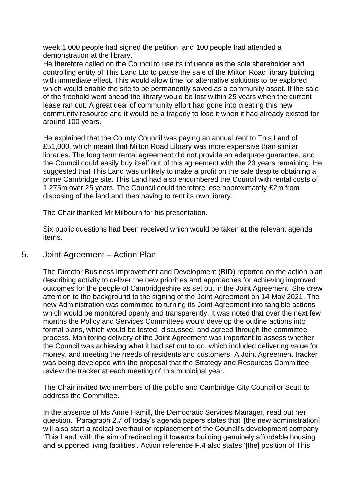week 1,000 people had signed the petition, and 100 people had attended a demonstration at the library.

He therefore called on the Council to use its influence as the sole shareholder and controlling entity of This Land Ltd to pause the sale of the Milton Road library building with immediate effect. This would allow time for alternative solutions to be explored which would enable the site to be permanently saved as a community asset. If the sale of the freehold went ahead the library would be lost within 25 years when the current lease ran out. A great deal of community effort had gone into creating this new community resource and it would be a tragedy to lose it when it had already existed for around 100 years.

He explained that the County Council was paying an annual rent to This Land of £51,000, which meant that Milton Road Library was more expensive than similar libraries. The long term rental agreement did not provide an adequate guarantee, and the Council could easily buy itself out of this agreement with the 23 years remaining. He suggested that This Land was unlikely to make a profit on the sale despite obtaining a prime Cambridge site. This Land had also encumbered the Council with rental costs of 1.275m over 25 years. The Council could therefore lose approximately £2m from disposing of the land and then having to rent its own library.

The Chair thanked Mr Milbourn for his presentation.

Six public questions had been received which would be taken at the relevant agenda items.

### 5. Joint Agreement – Action Plan

The Director Business Improvement and Development (BID) reported on the action plan describing activity to deliver the new priorities and approaches for achieving improved outcomes for the people of Cambridgeshire as set out in the Joint Agreement. She drew attention to the background to the signing of the Joint Agreement on 14 May 2021. The new Administration was committed to turning its Joint Agreement into tangible actions which would be monitored openly and transparently. It was noted that over the next few months the Policy and Services Committees would develop the outline actions into formal plans, which would be tested, discussed, and agreed through the committee process. Monitoring delivery of the Joint Agreement was important to assess whether the Council was achieving what it had set out to do, which included delivering value for money, and meeting the needs of residents and customers. A Joint Agreement tracker was being developed with the proposal that the Strategy and Resources Committee review the tracker at each meeting of this municipal year.

The Chair invited two members of the public and Cambridge City Councillor Scutt to address the Committee.

In the absence of Ms Anne Hamill, the Democratic Services Manager, read out her question. "Paragraph 2.7 of today's agenda papers states that '[the new administration] will also start a radical overhaul or replacement of the Council's development company 'This Land' with the aim of redirecting it towards building genuinely affordable housing and supported living facilities'. Action reference F.4 also states '[the] position of This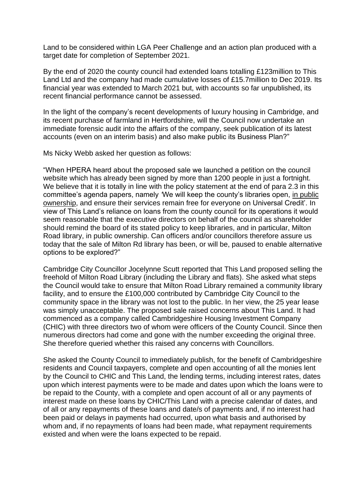Land to be considered within LGA Peer Challenge and an action plan produced with a target date for completion of September 2021.

By the end of 2020 the county council had extended loans totalling £123million to This Land Ltd and the company had made cumulative losses of £15.7million to Dec 2019. Its financial year was extended to March 2021 but, with accounts so far unpublished, its recent financial performance cannot be assessed.

In the light of the company's recent developments of luxury housing in Cambridge, and its recent purchase of farmland in Hertfordshire, will the Council now undertake an immediate forensic audit into the affairs of the company, seek publication of its latest accounts (even on an interim basis) and also make public its Business Plan?"

Ms Nicky Webb asked her question as follows:

"When HPERA heard about the proposed sale we launched a petition on the council website which has already been signed by more than 1200 people in just a fortnight. We believe that it is totally in line with the policy statement at the end of para 2.3 in this committee's agenda papers, namely *'*We will keep the county's libraries open, in public ownership, and ensure their services remain free for everyone on Universal Credit'. In view of This Land's reliance on loans from the county council for its operations it would seem reasonable that the executive directors on behalf of the council as shareholder should remind the board of its stated policy to keep libraries, and in particular, Milton Road library, in public ownership. Can officers and/or councillors therefore assure us today that the sale of Milton Rd library has been, or will be, paused to enable alternative options to be explored?"

Cambridge City Councillor Jocelynne Scutt reported that This Land proposed selling the freehold of Milton Road Library (including the Library and flats). She asked what steps the Council would take to ensure that Milton Road Library remained a community library facility, and to ensure the £100,000 contributed by Cambridge City Council to the community space in the library was not lost to the public. In her view, the 25 year lease was simply unacceptable. The proposed sale raised concerns about This Land. It had commenced as a company called Cambridgeshire Housing Investment Company (CHIC) with three directors two of whom were officers of the County Council. Since then numerous directors had come and gone with the number exceeding the original three. She therefore queried whether this raised any concerns with Councillors.

She asked the County Council to immediately publish, for the benefit of Cambridgeshire residents and Council taxpayers, complete and open accounting of all the monies lent by the Council to CHIC and This Land, the lending terms, including interest rates, dates upon which interest payments were to be made and dates upon which the loans were to be repaid to the County, with a complete and open account of all or any payments of interest made on these loans by CHIC/This Land with a precise calendar of dates, and of all or any repayments of these loans and date/s of payments and, if no interest had been paid or delays in payments had occurred, upon what basis and authorised by whom and, if no repayments of loans had been made, what repayment requirements existed and when were the loans expected to be repaid.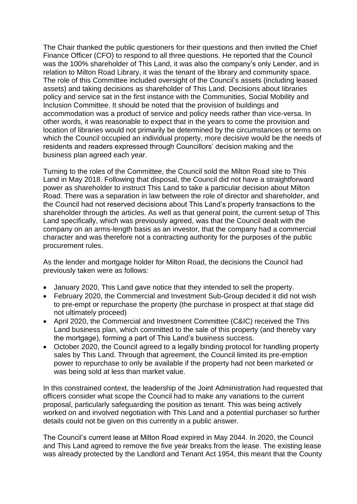The Chair thanked the public questioners for their questions and then invited the Chief Finance Officer (CFO) to respond to all three questions. He reported that the Council was the 100% shareholder of This Land, it was also the company's only Lender, and in relation to Milton Road Library, it was the tenant of the library and community space. The role of this Committee included oversight of the Council's assets (including leased assets) and taking decisions as shareholder of This Land. Decisions about libraries policy and service sat in the first instance with the Communities, Social Mobility and Inclusion Committee. It should be noted that the provision of buildings and accommodation was a product of service and policy needs rather than vice-versa. In other words, it was reasonable to expect that in the years to come the provision and location of libraries would not primarily be determined by the circumstances or terms on which the Council occupied an individual property, more decisive would be the needs of residents and readers expressed through Councillors' decision making and the business plan agreed each year.

Turning to the roles of the Committee, the Council sold the Milton Road site to This Land in May 2018. Following that disposal, the Council did not have a straightforward power as shareholder to instruct This Land to take a particular decision about Milton Road. There was a separation in law between the role of director and shareholder, and the Council had not reserved decisions about This Land's property transactions to the shareholder through the articles. As well as that general point, the current setup of This Land specifically, which was previously agreed, was that the Council dealt with the company on an arms-length basis as an investor, that the company had a commercial character and was therefore not a contracting authority for the purposes of the public procurement rules.

As the lender and mortgage holder for Milton Road, the decisions the Council had previously taken were as follows:

- January 2020, This Land gave notice that they intended to sell the property.
- February 2020, the Commercial and Investment Sub-Group decided it did not wish to pre-empt or repurchase the property (the purchase in prospect at that stage did not ultimately proceed)
- April 2020, the Commercial and Investment Committee (C&IC) received the This Land business plan, which committed to the sale of this property (and thereby vary the mortgage), forming a part of This Land's business success.
- October 2020, the Council agreed to a legally binding protocol for handling property sales by This Land. Through that agreement, the Council limited its pre-emption power to repurchase to only be available if the property had not been marketed or was being sold at less than market value.

In this constrained context, the leadership of the Joint Administration had requested that officers consider what scope the Council had to make any variations to the current proposal, particularly safeguarding the position as tenant. This was being actively worked on and involved negotiation with This Land and a potential purchaser so further details could not be given on this currently in a public answer.

The Council's current lease at Milton Road expired in May 2044. In 2020, the Council and This Land agreed to remove the five year breaks from the lease. The existing lease was already protected by the Landlord and Tenant Act 1954, this meant that the County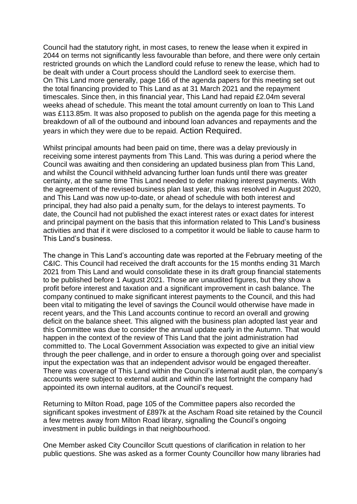Council had the statutory right, in most cases, to renew the lease when it expired in 2044 on terms not significantly less favourable than before, and there were only certain restricted grounds on which the Landlord could refuse to renew the lease, which had to be dealt with under a Court process should the Landlord seek to exercise them. On This Land more generally, page 166 of the agenda papers for this meeting set out the total financing provided to This Land as at 31 March 2021 and the repayment timescales. Since then, in this financial year, This Land had repaid £2.04m several weeks ahead of schedule. This meant the total amount currently on loan to This Land was £113.85m. It was also proposed to publish on the agenda page for this meeting a breakdown of all of the outbound and inbound loan advances and repayments and the years in which they were due to be repaid. Action Required.

Whilst principal amounts had been paid on time, there was a delay previously in receiving some interest payments from This Land. This was during a period where the Council was awaiting and then considering an updated business plan from This Land, and whilst the Council withheld advancing further loan funds until there was greater certainty, at the same time This Land needed to defer making interest payments. With the agreement of the revised business plan last year, this was resolved in August 2020, and This Land was now up-to-date, or ahead of schedule with both interest and principal, they had also paid a penalty sum, for the delays to interest payments. To date, the Council had not published the exact interest rates or exact dates for interest and principal payment on the basis that this information related to This Land's business activities and that if it were disclosed to a competitor it would be liable to cause harm to This Land's business.

The change in This Land's accounting date was reported at the February meeting of the C&IC. This Council had received the draft accounts for the 15 months ending 31 March 2021 from This Land and would consolidate these in its draft group financial statements to be published before 1 August 2021. Those are unaudited figures, but they show a profit before interest and taxation and a significant improvement in cash balance. The company continued to make significant interest payments to the Council, and this had been vital to mitigating the level of savings the Council would otherwise have made in recent years, and the This Land accounts continue to record an overall and growing deficit on the balance sheet. This aligned with the business plan adopted last year and this Committee was due to consider the annual update early in the Autumn. That would happen in the context of the review of This Land that the joint administration had committed to. The Local Government Association was expected to give an initial view through the peer challenge, and in order to ensure a thorough going over and specialist input the expectation was that an independent advisor would be engaged thereafter. There was coverage of This Land within the Council's internal audit plan, the company's accounts were subject to external audit and within the last fortnight the company had appointed its own internal auditors, at the Council's request.

Returning to Milton Road, page 105 of the Committee papers also recorded the significant spokes investment of £897k at the Ascham Road site retained by the Council a few metres away from Milton Road library, signalling the Council's ongoing investment in public buildings in that neighbourhood.

One Member asked City Councillor Scutt questions of clarification in relation to her public questions. She was asked as a former County Councillor how many libraries had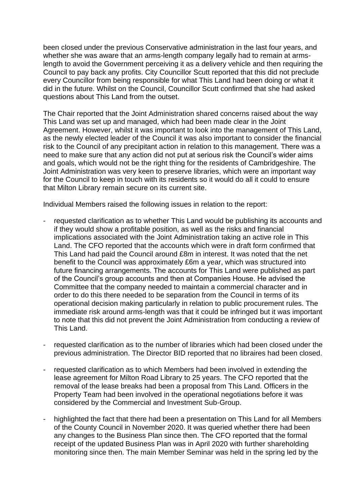been closed under the previous Conservative administration in the last four years, and whether she was aware that an arms-length company legally had to remain at armslength to avoid the Government perceiving it as a delivery vehicle and then requiring the Council to pay back any profits. City Councillor Scutt reported that this did not preclude every Councillor from being responsible for what This Land had been doing or what it did in the future. Whilst on the Council, Councillor Scutt confirmed that she had asked questions about This Land from the outset.

The Chair reported that the Joint Administration shared concerns raised about the way This Land was set up and managed, which had been made clear in the Joint Agreement. However, whilst it was important to look into the management of This Land, as the newly elected leader of the Council it was also important to consider the financial risk to the Council of any precipitant action in relation to this management. There was a need to make sure that any action did not put at serious risk the Council's wider aims and goals, which would not be the right thing for the residents of Cambridgeshire. The Joint Administration was very keen to preserve libraries, which were an important way for the Council to keep in touch with its residents so it would do all it could to ensure that Milton Library remain secure on its current site.

Individual Members raised the following issues in relation to the report:

- requested clarification as to whether This Land would be publishing its accounts and if they would show a profitable position, as well as the risks and financial implications associated with the Joint Administration taking an active role in This Land. The CFO reported that the accounts which were in draft form confirmed that This Land had paid the Council around £8m in interest. It was noted that the net benefit to the Council was approximately £6m a year, which was structured into future financing arrangements. The accounts for This Land were published as part of the Council's group accounts and then at Companies House. He advised the Committee that the company needed to maintain a commercial character and in order to do this there needed to be separation from the Council in terms of its operational decision making particularly in relation to public procurement rules. The immediate risk around arms-length was that it could be infringed but it was important to note that this did not prevent the Joint Administration from conducting a review of This Land.
- requested clarification as to the number of libraries which had been closed under the previous administration. The Director BID reported that no libraires had been closed.
- requested clarification as to which Members had been involved in extending the lease agreement for Milton Road Library to 25 years. The CFO reported that the removal of the lease breaks had been a proposal from This Land. Officers in the Property Team had been involved in the operational negotiations before it was considered by the Commercial and Investment Sub-Group.
- highlighted the fact that there had been a presentation on This Land for all Members of the County Council in November 2020. It was queried whether there had been any changes to the Business Plan since then. The CFO reported that the formal receipt of the updated Business Plan was in April 2020 with further shareholding monitoring since then. The main Member Seminar was held in the spring led by the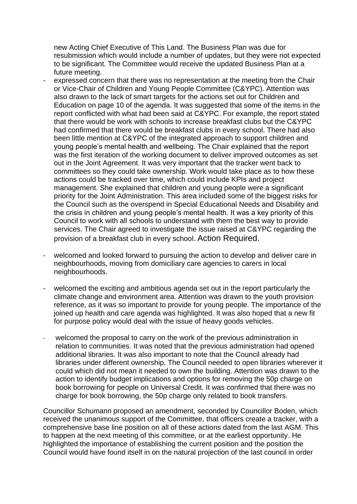new Acting Chief Executive of This Land. The Business Plan was due for resubmission which would include a number of updates, but they were not expected to be significant. The Committee would receive the updated Business Plan at a future meeting.

- expressed concern that there was no representation at the meeting from the Chair or Vice-Chair of Children and Young People Committee (C&YPC). Attention was also drawn to the lack of smart targets for the actions set out for Children and Education on page 10 of the agenda. It was suggested that some of the items in the report conflicted with what had been said at C&YPC. For example, the report stated that there would be work with schools to increase breakfast clubs but the C&YPC had confirmed that there would be breakfast clubs in every school. There had also been little mention at C&YPC of the integrated approach to support children and young people's mental health and wellbeing. The Chair explained that the report was the first iteration of the working document to deliver improved outcomes as set out in the Joint Agreement. It was very important that the tracker went back to committees so they could take ownership. Work would take place as to how these actions could be tracked over time, which could include KPIs and project management. She explained that children and young people were a significant priority for the Joint Administration. This area included some of the biggest risks for the Council such as the overspend in Special Educational Needs and Disability and the crisis in children and young people's mental health. It was a key priority of this Council to work with all schools to understand with them the best way to provide services. The Chair agreed to investigate the issue raised at C&YPC regarding the provision of a breakfast club in every school. Action Required.
- welcomed and looked forward to pursuing the action to develop and deliver care in neighbourhoods, moving from domiciliary care agencies to carers in local neighbourhoods.
- welcomed the exciting and ambitious agenda set out in the report particularly the climate change and environment area. Attention was drawn to the youth provision reference, as it was so important to provide for young people. The importance of the joined up health and care agenda was highlighted. It was also hoped that a new fit for purpose policy would deal with the issue of heavy goods vehicles.
- welcomed the proposal to carry on the work of the previous administration in relation to communities. It was noted that the previous administration had opened additional libraries. It was also important to note that the Council already had libraries under different ownership. The Council needed to open libraries wherever it could which did not mean it needed to own the building. Attention was drawn to the action to identify budget implications and options for removing the 50p charge on book borrowing for people on Universal Credit. It was confirmed that there was no charge for book borrowing, the 50p charge only related to book transfers.

Councillor Schumann proposed an amendment, seconded by Councillor Boden, which received the unanimous support of the Committee, that officers create a tracker, with a comprehensive base line position on all of these actions dated from the last AGM. This to happen at the next meeting of this committee, or at the earliest opportunity. He highlighted the importance of establishing the current position and the position the Council would have found itself in on the natural projection of the last council in order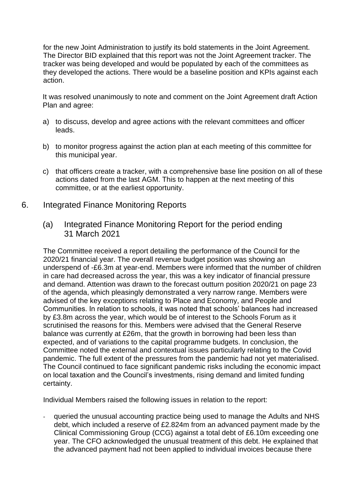for the new Joint Administration to justify its bold statements in the Joint Agreement. The Director BID explained that this report was not the Joint Agreement tracker. The tracker was being developed and would be populated by each of the committees as they developed the actions. There would be a baseline position and KPIs against each action.

It was resolved unanimously to note and comment on the Joint Agreement draft Action Plan and agree:

- a) to discuss, develop and agree actions with the relevant committees and officer leads.
- b) to monitor progress against the action plan at each meeting of this committee for this municipal year.
- c) that officers create a tracker, with a comprehensive base line position on all of these actions dated from the last AGM. This to happen at the next meeting of this committee, or at the earliest opportunity.
- 6. Integrated Finance Monitoring Reports
	- (a) Integrated Finance Monitoring Report for the period ending 31 March 2021

The Committee received a report detailing the performance of the Council for the 2020/21 financial year. The overall revenue budget position was showing an underspend of -£6.3m at year-end. Members were informed that the number of children in care had decreased across the year, this was a key indicator of financial pressure and demand. Attention was drawn to the forecast outturn position 2020/21 on page 23 of the agenda, which pleasingly demonstrated a very narrow range. Members were advised of the key exceptions relating to Place and Economy, and People and Communities. In relation to schools, it was noted that schools' balances had increased by £3.8m across the year, which would be of interest to the Schools Forum as it scrutinised the reasons for this. Members were advised that the General Reserve balance was currently at £26m, that the growth in borrowing had been less than expected, and of variations to the capital programme budgets. In conclusion, the Committee noted the external and contextual issues particularly relating to the Covid pandemic. The full extent of the pressures from the pandemic had not yet materialised. The Council continued to face significant pandemic risks including the economic impact on local taxation and the Council's investments, rising demand and limited funding certainty.

Individual Members raised the following issues in relation to the report:

- queried the unusual accounting practice being used to manage the Adults and NHS debt, which included a reserve of £2.824m from an advanced payment made by the Clinical Commissioning Group (CCG) against a total debt of £6.10m exceeding one year. The CFO acknowledged the unusual treatment of this debt. He explained that the advanced payment had not been applied to individual invoices because there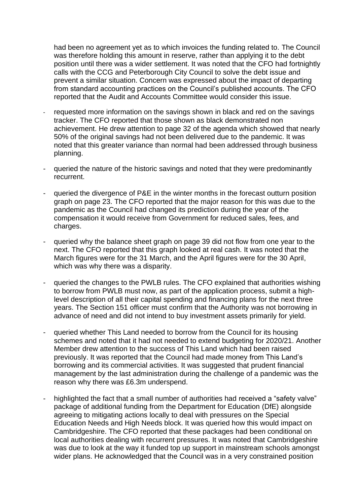had been no agreement yet as to which invoices the funding related to. The Council was therefore holding this amount in reserve, rather than applying it to the debt position until there was a wider settlement. It was noted that the CFO had fortnightly calls with the CCG and Peterborough City Council to solve the debt issue and prevent a similar situation. Concern was expressed about the impact of departing from standard accounting practices on the Council's published accounts. The CFO reported that the Audit and Accounts Committee would consider this issue.

- requested more information on the savings shown in black and red on the savings tracker. The CFO reported that those shown as black demonstrated non achievement. He drew attention to page 32 of the agenda which showed that nearly 50% of the original savings had not been delivered due to the pandemic. It was noted that this greater variance than normal had been addressed through business planning.
- queried the nature of the historic savings and noted that they were predominantly recurrent.
- queried the divergence of P&E in the winter months in the forecast outturn position graph on page 23. The CFO reported that the major reason for this was due to the pandemic as the Council had changed its prediction during the year of the compensation it would receive from Government for reduced sales, fees, and charges.
- queried why the balance sheet graph on page 39 did not flow from one year to the next. The CFO reported that this graph looked at real cash. It was noted that the March figures were for the 31 March, and the April figures were for the 30 April, which was why there was a disparity.
- queried the changes to the PWLB rules. The CFO explained that authorities wishing to borrow from PWLB must now, as part of the application process, submit a highlevel description of all their capital spending and financing plans for the next three years. The Section 151 officer must confirm that the Authority was not borrowing in advance of need and did not intend to buy investment assets primarily for yield.
- queried whether This Land needed to borrow from the Council for its housing schemes and noted that it had not needed to extend budgeting for 2020/21. Another Member drew attention to the success of This Land which had been raised previously. It was reported that the Council had made money from This Land's borrowing and its commercial activities. It was suggested that prudent financial management by the last administration during the challenge of a pandemic was the reason why there was £6.3m underspend.
- highlighted the fact that a small number of authorities had received a "safety valve" package of additional funding from the Department for Education (DfE) alongside agreeing to mitigating actions locally to deal with pressures on the Special Education Needs and High Needs block. It was queried how this would impact on Cambridgeshire. The CFO reported that these packages had been conditional on local authorities dealing with recurrent pressures. It was noted that Cambridgeshire was due to look at the way it funded top up support in mainstream schools amongst wider plans. He acknowledged that the Council was in a very constrained position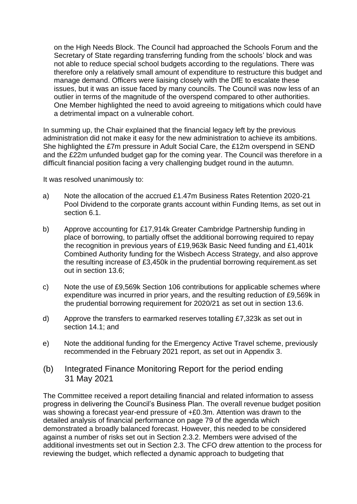on the High Needs Block. The Council had approached the Schools Forum and the Secretary of State regarding transferring funding from the schools' block and was not able to reduce special school budgets according to the regulations. There was therefore only a relatively small amount of expenditure to restructure this budget and manage demand. Officers were liaising closely with the DfE to escalate these issues, but it was an issue faced by many councils. The Council was now less of an outlier in terms of the magnitude of the overspend compared to other authorities. One Member highlighted the need to avoid agreeing to mitigations which could have a detrimental impact on a vulnerable cohort.

In summing up, the Chair explained that the financial legacy left by the previous administration did not make it easy for the new administration to achieve its ambitions. She highlighted the £7m pressure in Adult Social Care, the £12m overspend in SEND and the £22m unfunded budget gap for the coming year. The Council was therefore in a difficult financial position facing a very challenging budget round in the autumn.

It was resolved unanimously to:

- a) Note the allocation of the accrued £1.47m Business Rates Retention 2020-21 Pool Dividend to the corporate grants account within Funding Items, as set out in section 6.1.
- b) Approve accounting for £17,914k Greater Cambridge Partnership funding in place of borrowing, to partially offset the additional borrowing required to repay the recognition in previous years of £19,963k Basic Need funding and £1,401k Combined Authority funding for the Wisbech Access Strategy, and also approve the resulting increase of £3,450k in the prudential borrowing requirement.as set out in section 13.6;
- c) Note the use of £9,569k Section 106 contributions for applicable schemes where expenditure was incurred in prior years, and the resulting reduction of £9,569k in the prudential borrowing requirement for 2020/21 as set out in section 13.6.
- d) Approve the transfers to earmarked reserves totalling £7,323k as set out in section 14.1; and
- e) Note the additional funding for the Emergency Active Travel scheme, previously recommended in the February 2021 report, as set out in Appendix 3.
- (b) Integrated Finance Monitoring Report for the period ending 31 May 2021

The Committee received a report detailing financial and related information to assess progress in delivering the Council's Business Plan. The overall revenue budget position was showing a forecast year-end pressure of +£0.3m. Attention was drawn to the detailed analysis of financial performance on page 79 of the agenda which demonstrated a broadly balanced forecast. However, this needed to be considered against a number of risks set out in Section 2.3.2. Members were advised of the additional investments set out in Section 2.3. The CFO drew attention to the process for reviewing the budget, which reflected a dynamic approach to budgeting that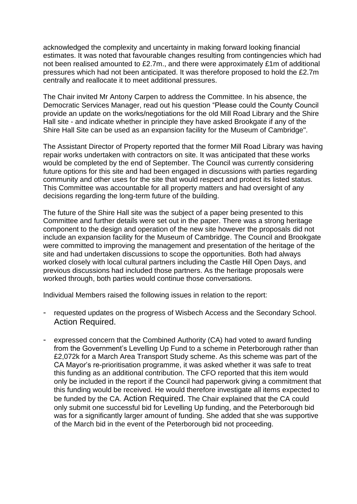acknowledged the complexity and uncertainty in making forward looking financial estimates. It was noted that favourable changes resulting from contingencies which had not been realised amounted to £2.7m., and there were approximately £1m of additional pressures which had not been anticipated. It was therefore proposed to hold the £2.7m centrally and reallocate it to meet additional pressures.

The Chair invited Mr Antony Carpen to address the Committee. In his absence, the Democratic Services Manager, read out his question "Please could the County Council provide an update on the works/negotiations for the old Mill Road Library and the Shire Hall site - and indicate whether in principle they have asked Brookgate if any of the Shire Hall Site can be used as an expansion facility for the Museum of Cambridge".

The Assistant Director of Property reported that the former Mill Road Library was having repair works undertaken with contractors on site. It was anticipated that these works would be completed by the end of September. The Council was currently considering future options for this site and had been engaged in discussions with parties regarding community and other uses for the site that would respect and protect its listed status. This Committee was accountable for all property matters and had oversight of any decisions regarding the long-term future of the building.

The future of the Shire Hall site was the subject of a paper being presented to this Committee and further details were set out in the paper. There was a strong heritage component to the design and operation of the new site however the proposals did not include an expansion facility for the Museum of Cambridge. The Council and Brookgate were committed to improving the management and presentation of the heritage of the site and had undertaken discussions to scope the opportunities. Both had always worked closely with local cultural partners including the Castle Hill Open Days, and previous discussions had included those partners. As the heritage proposals were worked through, both parties would continue those conversations.

Individual Members raised the following issues in relation to the report:

- requested updates on the progress of Wisbech Access and the Secondary School. Action Required.
- expressed concern that the Combined Authority (CA) had voted to award funding from the Government's Levelling Up Fund to a scheme in Peterborough rather than £2,072k for a March Area Transport Study scheme. As this scheme was part of the CA Mayor's re-prioritisation programme, it was asked whether it was safe to treat this funding as an additional contribution. The CFO reported that this item would only be included in the report if the Council had paperwork giving a commitment that this funding would be received. He would therefore investigate all items expected to be funded by the CA. Action Required. The Chair explained that the CA could only submit one successful bid for Levelling Up funding, and the Peterborough bid was for a significantly larger amount of funding. She added that she was supportive of the March bid in the event of the Peterborough bid not proceeding.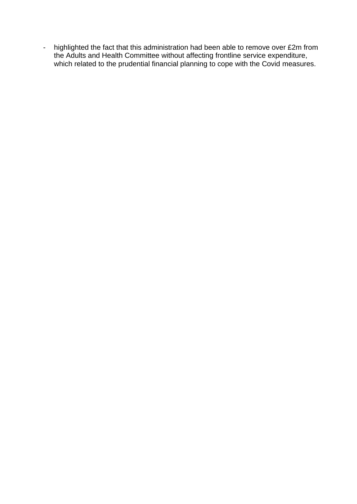- highlighted the fact that this administration had been able to remove over £2m from the Adults and Health Committee without affecting frontline service expenditure, which related to the prudential financial planning to cope with the Covid measures.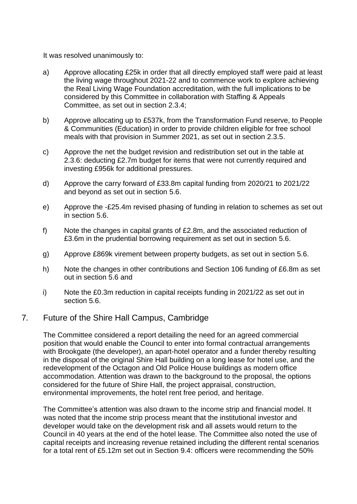It was resolved unanimously to:

- a) Approve allocating £25k in order that all directly employed staff were paid at least the living wage throughout 2021-22 and to commence work to explore achieving the Real Living Wage Foundation accreditation, with the full implications to be considered by this Committee in collaboration with Staffing & Appeals Committee, as set out in section 2.3.4;
- b) Approve allocating up to £537k, from the Transformation Fund reserve, to People & Communities (Education) in order to provide children eligible for free school meals with that provision in Summer 2021, as set out in section 2.3.5.
- c) Approve the net the budget revision and redistribution set out in the table at 2.3.6: deducting £2.7m budget for items that were not currently required and investing £956k for additional pressures.
- d) Approve the carry forward of £33.8m capital funding from 2020/21 to 2021/22 and beyond as set out in section 5.6.
- e) Approve the -£25.4m revised phasing of funding in relation to schemes as set out in section 5.6.
- f) Note the changes in capital grants of £2.8m, and the associated reduction of £3.6m in the prudential borrowing requirement as set out in section 5.6.
- g) Approve £869k virement between property budgets, as set out in section 5.6.
- h) Note the changes in other contributions and Section 106 funding of £6.8m as set out in section 5.6 and
- i) Note the £0.3m reduction in capital receipts funding in 2021/22 as set out in section 5.6.

### 7*.* Future of the Shire Hall Campus, Cambridge

The Committee considered a report detailing the need for an agreed commercial position that would enable the Council to enter into formal contractual arrangements with Brookgate (the developer), an apart-hotel operator and a funder thereby resulting in the disposal of the original Shire Hall building on a long lease for hotel use, and the redevelopment of the Octagon and Old Police House buildings as modern office accommodation. Attention was drawn to the background to the proposal, the options considered for the future of Shire Hall, the project appraisal, construction, environmental improvements, the hotel rent free period, and heritage.

The Committee's attention was also drawn to the income strip and financial model. It was noted that the income strip process meant that the institutional investor and developer would take on the development risk and all assets would return to the Council in 40 years at the end of the hotel lease. The Committee also noted the use of capital receipts and increasing revenue retained including the different rental scenarios for a total rent of £5.12m set out in Section 9.4: officers were recommending the 50%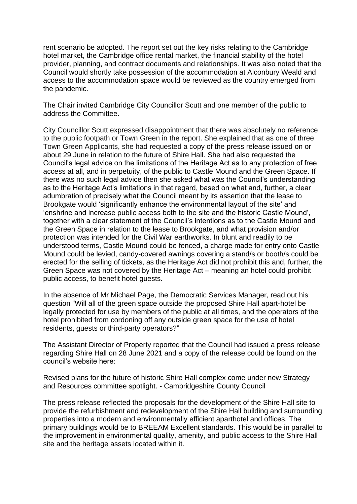rent scenario be adopted. The report set out the key risks relating to the Cambridge hotel market, the Cambridge office rental market, the financial stability of the hotel provider, planning, and contract documents and relationships. It was also noted that the Council would shortly take possession of the accommodation at Alconbury Weald and access to the accommodation space would be reviewed as the country emerged from the pandemic.

The Chair invited Cambridge City Councillor Scutt and one member of the public to address the Committee.

City Councillor Scutt expressed disappointment that there was absolutely no reference to the public footpath or Town Green in the report. She explained that as one of three Town Green Applicants, she had requested a copy of the press release issued on or about 29 June in relation to the future of Shire Hall. She had also requested the Council's legal advice on the limitations of the Heritage Act as to any protection of free access at all, and in perpetuity, of the public to Castle Mound and the Green Space. If there was no such legal advice then she asked what was the Council's understanding as to the Heritage Act's limitations in that regard, based on what and, further, a clear adumbration of precisely what the Council meant by its assertion that the lease to Brookgate would 'significantly enhance the environmental layout of the site' and 'enshrine and increase public access both to the site and the historic Castle Mound', together with a clear statement of the Council's intentions as to the Castle Mound and the Green Space in relation to the lease to Brookgate, and what provision and/or protection was intended for the Civil War earthworks. In blunt and readily to be understood terms, Castle Mound could be fenced, a charge made for entry onto Castle Mound could be levied, candy-covered awnings covering a stand/s or booth/s could be erected for the selling of tickets, as the Heritage Act did not prohibit this and, further, the Green Space was not covered by the Heritage Act – meaning an hotel could prohibit public access, to benefit hotel guests.

In the absence of Mr Michael Page, the Democratic Services Manager, read out his question "Will all of the green space outside the proposed Shire Hall apart-hotel be legally protected for use by members of the public at all times, and the operators of the hotel prohibited from cordoning off any outside green space for the use of hotel residents, guests or third-party operators?"

The Assistant Director of Property reported that the Council had issued a press release regarding Shire Hall on 28 June 2021 and a copy of the release could be found on the council's website here:

[Revised plans for the future of historic Shire Hall complex come under new Strategy](https://www.cambridgeshire.gov.uk/news/revised-plans-for-the-future-of-historic-shire-hall-complex-come-under-new-strategy-and-resources-committee-spotlight)  [and Resources committee spotlight. -](https://www.cambridgeshire.gov.uk/news/revised-plans-for-the-future-of-historic-shire-hall-complex-come-under-new-strategy-and-resources-committee-spotlight) Cambridgeshire County Council

The press release reflected the proposals for the development of the Shire Hall site to provide the refurbishment and redevelopment of the Shire Hall building and surrounding properties into a modern and environmentally efficient aparthotel and offices. The primary buildings would be to BREEAM Excellent standards. This would be in parallel to the improvement in environmental quality, amenity, and public access to the Shire Hall site and the heritage assets located within it.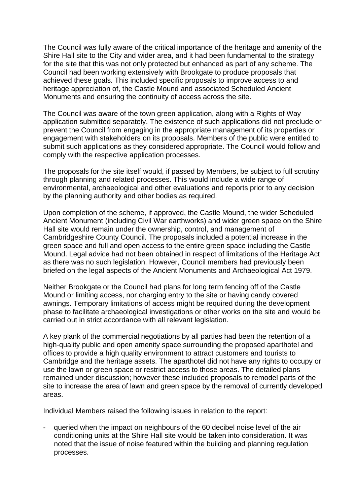The Council was fully aware of the critical importance of the heritage and amenity of the Shire Hall site to the City and wider area, and it had been fundamental to the strategy for the site that this was not only protected but enhanced as part of any scheme. The Council had been working extensively with Brookgate to produce proposals that achieved these goals. This included specific proposals to improve access to and heritage appreciation of, the Castle Mound and associated Scheduled Ancient Monuments and ensuring the continuity of access across the site.

The Council was aware of the town green application, along with a Rights of Way application submitted separately. The existence of such applications did not preclude or prevent the Council from engaging in the appropriate management of its properties or engagement with stakeholders on its proposals. Members of the public were entitled to submit such applications as they considered appropriate. The Council would follow and comply with the respective application processes.

The proposals for the site itself would, if passed by Members, be subject to full scrutiny through planning and related processes. This would include a wide range of environmental, archaeological and other evaluations and reports prior to any decision by the planning authority and other bodies as required.

Upon completion of the scheme, if approved, the Castle Mound, the wider Scheduled Ancient Monument (including Civil War earthworks) and wider green space on the Shire Hall site would remain under the ownership, control, and management of Cambridgeshire County Council. The proposals included a potential increase in the green space and full and open access to the entire green space including the Castle Mound. Legal advice had not been obtained in respect of limitations of the Heritage Act as there was no such legislation. However, Council members had previously been briefed on the legal aspects of the Ancient Monuments and Archaeological Act 1979.

Neither Brookgate or the Council had plans for long term fencing off of the Castle Mound or limiting access, nor charging entry to the site or having candy covered awnings. Temporary limitations of access might be required during the development phase to facilitate archaeological investigations or other works on the site and would be carried out in strict accordance with all relevant legislation.

A key plank of the commercial negotiations by all parties had been the retention of a high-quality public and open amenity space surrounding the proposed aparthotel and offices to provide a high quality environment to attract customers and tourists to Cambridge and the heritage assets. The aparthotel did not have any rights to occupy or use the lawn or green space or restrict access to those areas. The detailed plans remained under discussion; however these included proposals to remodel parts of the site to increase the area of lawn and green space by the removal of currently developed areas.

Individual Members raised the following issues in relation to the report:

queried when the impact on neighbours of the 60 decibel noise level of the air conditioning units at the Shire Hall site would be taken into consideration. It was noted that the issue of noise featured within the building and planning regulation processes.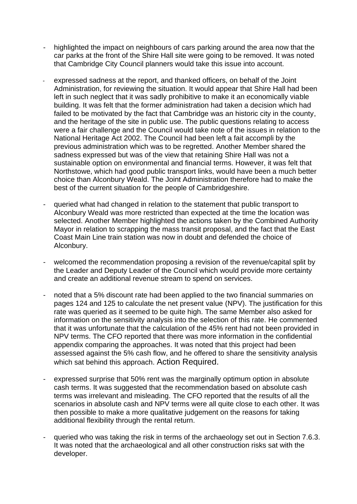- highlighted the impact on neighbours of cars parking around the area now that the car parks at the front of the Shire Hall site were going to be removed. It was noted that Cambridge City Council planners would take this issue into account.
- expressed sadness at the report, and thanked officers, on behalf of the Joint Administration, for reviewing the situation. It would appear that Shire Hall had been left in such neglect that it was sadly prohibitive to make it an economically viable building. It was felt that the former administration had taken a decision which had failed to be motivated by the fact that Cambridge was an historic city in the county, and the heritage of the site in public use. The public questions relating to access were a fair challenge and the Council would take note of the issues in relation to the National Heritage Act 2002. The Council had been left a fait accompli by the previous administration which was to be regretted. Another Member shared the sadness expressed but was of the view that retaining Shire Hall was not a sustainable option on environmental and financial terms. However, it was felt that Northstowe, which had good public transport links, would have been a much better choice than Alconbury Weald. The Joint Administration therefore had to make the best of the current situation for the people of Cambridgeshire.
- queried what had changed in relation to the statement that public transport to Alconbury Weald was more restricted than expected at the time the location was selected. Another Member highlighted the actions taken by the Combined Authority Mayor in relation to scrapping the mass transit proposal, and the fact that the East Coast Main Line train station was now in doubt and defended the choice of Alconbury.
- welcomed the recommendation proposing a revision of the revenue/capital split by the Leader and Deputy Leader of the Council which would provide more certainty and create an additional revenue stream to spend on services.
- noted that a 5% discount rate had been applied to the two financial summaries on pages 124 and 125 to calculate the net present value (NPV). The justification for this rate was queried as it seemed to be quite high. The same Member also asked for information on the sensitivity analysis into the selection of this rate. He commented that it was unfortunate that the calculation of the 45% rent had not been provided in NPV terms. The CFO reported that there was more information in the confidential appendix comparing the approaches. It was noted that this project had been assessed against the 5% cash flow, and he offered to share the sensitivity analysis which sat behind this approach. Action Required.
- expressed surprise that 50% rent was the marginally optimum option in absolute cash terms. It was suggested that the recommendation based on absolute cash terms was irrelevant and misleading. The CFO reported that the results of all the scenarios in absolute cash and NPV terms were all quite close to each other. It was then possible to make a more qualitative judgement on the reasons for taking additional flexibility through the rental return.
- queried who was taking the risk in terms of the archaeology set out in Section 7.6.3. It was noted that the archaeological and all other construction risks sat with the developer.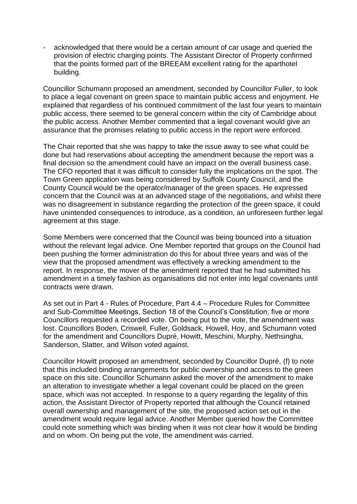acknowledged that there would be a certain amount of car usage and queried the provision of electric charging points. The Assistant Director of Property confirmed that the points formed part of the BREEAM excellent rating for the aparthotel building.

Councillor Schumann proposed an amendment, seconded by Councillor Fuller, to look to place a legal covenant on green space to maintain public access and enjoyment. He explained that regardless of his continued commitment of the last four years to maintain public access, there seemed to be general concern within the city of Cambridge about the public access. Another Member commented that a legal covenant would give an assurance that the promises relating to public access in the report were enforced.

The Chair reported that she was happy to take the issue away to see what could be done but had reservations about accepting the amendment because the report was a final decision so the amendment could have an impact on the overall business case. The CFO reported that it was difficult to consider fully the implications on the spot. The Town Green application was being considered by Suffolk County Council, and the County Council would be the operator/manager of the green spaces. He expressed concern that the Council was at an advanced stage of the negotiations, and whilst there was no disagreement in substance regarding the protection of the green space, it could have unintended consequences to introduce, as a condition, an unforeseen further legal agreement at this stage.

Some Members were concerned that the Council was being bounced into a situation without the relevant legal advice. One Member reported that groups on the Council had been pushing the former administration do this for about three years and was of the view that the proposed amendment was effectively a wrecking amendment to the report. In response, the mover of the amendment reported that he had submitted his amendment in a timely fashion as organisations did not enter into legal covenants until contracts were drawn.

As set out in Part 4 - Rules of Procedure, Part 4.4 – Procedure Rules for Committee and Sub-Committee Meetings, Section 18 of the Council's Constitution, five or more Councillors requested a recorded vote. On being put to the vote, the amendment was lost. Councillors Boden, Criswell, Fuller, Goldsack, Howell, Hoy, and Schumann voted for the amendment and Councillors Dupré, Howitt, Meschini, Murphy, Nethsingha, Sanderson, Slatter, and Wilson voted against.

Councillor Howitt proposed an amendment, seconded by Councillor Dupré, (f) to note that this included binding arrangements for public ownership and access to the green space on this site. Councillor Schumann asked the mover of the amendment to make an alteration to investigate whether a legal covenant could be placed on the green space, which was not accepted. In response to a query regarding the legality of this action, the Assistant Director of Property reported that although the Council retained overall ownership and management of the site, the proposed action set out in the amendment would require legal advice. Another Member queried how the Committee could note something which was binding when it was not clear how it would be binding and on whom. On being put the vote, the amendment was carried.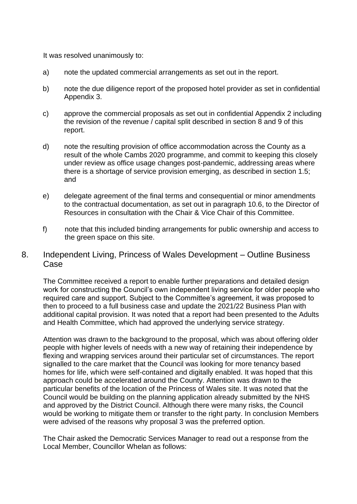It was resolved unanimously to:

- a) note the updated commercial arrangements as set out in the report.
- b) note the due diligence report of the proposed hotel provider as set in confidential Appendix 3.
- c) approve the commercial proposals as set out in confidential Appendix 2 including the revision of the revenue / capital split described in section 8 and 9 of this report.
- d) note the resulting provision of office accommodation across the County as a result of the whole Cambs 2020 programme, and commit to keeping this closely under review as office usage changes post-pandemic, addressing areas where there is a shortage of service provision emerging, as described in section 1.5; and
- e) delegate agreement of the final terms and consequential or minor amendments to the contractual documentation, as set out in paragraph 10.6, to the Director of Resources in consultation with the Chair & Vice Chair of this Committee.
- f) note that this included binding arrangements for public ownership and access to the green space on this site.
- 8. Independent Living, Princess of Wales Development Outline Business Case

The Committee received a report to enable further preparations and detailed design work for constructing the Council's own independent living service for older people who required care and support. Subject to the Committee's agreement, it was proposed to then to proceed to a full business case and update the 2021/22 Business Plan with additional capital provision. It was noted that a report had been presented to the Adults and Health Committee, which had approved the underlying service strategy.

Attention was drawn to the background to the proposal, which was about offering older people with higher levels of needs with a new way of retaining their independence by flexing and wrapping services around their particular set of circumstances. The report signalled to the care market that the Council was looking for more tenancy based homes for life, which were self-contained and digitally enabled. It was hoped that this approach could be accelerated around the County. Attention was drawn to the particular benefits of the location of the Princess of Wales site. It was noted that the Council would be building on the planning application already submitted by the NHS and approved by the District Council. Although there were many risks, the Council would be working to mitigate them or transfer to the right party. In conclusion Members were advised of the reasons why proposal 3 was the preferred option.

The Chair asked the Democratic Services Manager to read out a response from the Local Member, Councillor Whelan as follows: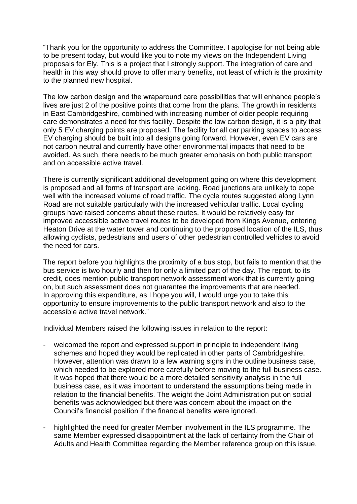"Thank you for the opportunity to address the Committee. I apologise for not being able to be present today, but would like you to note my views on the Independent Living proposals for Ely. This is a project that I strongly support. The integration of care and health in this way should prove to offer many benefits, not least of which is the proximity to the planned new hospital.

The low carbon design and the wraparound care possibilities that will enhance people's lives are just 2 of the positive points that come from the plans. The growth in residents in East Cambridgeshire, combined with increasing number of older people requiring care demonstrates a need for this facility. Despite the low carbon design, it is a pity that only 5 EV charging points are proposed. The facility for all car parking spaces to access EV charging should be built into all designs going forward. However, even EV cars are not carbon neutral and currently have other environmental impacts that need to be avoided. As such, there needs to be much greater emphasis on both public transport and on accessible active travel.

There is currently significant additional development going on where this development is proposed and all forms of transport are lacking. Road junctions are unlikely to cope well with the increased volume of road traffic. The cycle routes suggested along Lynn Road are not suitable particularly with the increased vehicular traffic. Local cycling groups have raised concerns about these routes. It would be relatively easy for improved accessible active travel routes to be developed from Kings Avenue, entering Heaton Drive at the water tower and continuing to the proposed location of the ILS, thus allowing cyclists, pedestrians and users of other pedestrian controlled vehicles to avoid the need for cars.

The report before you highlights the proximity of a bus stop, but fails to mention that the bus service is two hourly and then for only a limited part of the day. The report, to its credit, does mention public transport network assessment work that is currently going on, but such assessment does not guarantee the improvements that are needed. In approving this expenditure, as I hope you will, I would urge you to take this opportunity to ensure improvements to the public transport network and also to the accessible active travel network."

Individual Members raised the following issues in relation to the report:

- welcomed the report and expressed support in principle to independent living schemes and hoped they would be replicated in other parts of Cambridgeshire. However, attention was drawn to a few warning signs in the outline business case, which needed to be explored more carefully before moving to the full business case. It was hoped that there would be a more detailed sensitivity analysis in the full business case, as it was important to understand the assumptions being made in relation to the financial benefits. The weight the Joint Administration put on social benefits was acknowledged but there was concern about the impact on the Council's financial position if the financial benefits were ignored.
- highlighted the need for greater Member involvement in the ILS programme. The same Member expressed disappointment at the lack of certainty from the Chair of Adults and Health Committee regarding the Member reference group on this issue.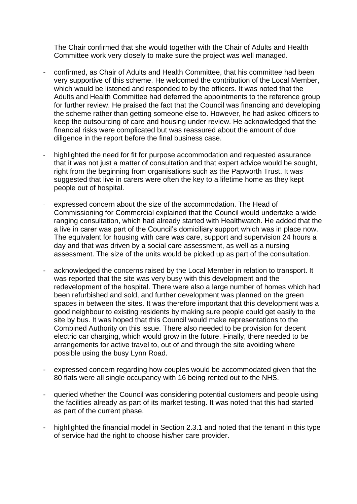The Chair confirmed that she would together with the Chair of Adults and Health Committee work very closely to make sure the project was well managed.

- confirmed, as Chair of Adults and Health Committee, that his committee had been very supportive of this scheme. He welcomed the contribution of the Local Member, which would be listened and responded to by the officers. It was noted that the Adults and Health Committee had deferred the appointments to the reference group for further review. He praised the fact that the Council was financing and developing the scheme rather than getting someone else to. However, he had asked officers to keep the outsourcing of care and housing under review. He acknowledged that the financial risks were complicated but was reassured about the amount of due diligence in the report before the final business case.
- highlighted the need for fit for purpose accommodation and requested assurance that it was not just a matter of consultation and that expert advice would be sought, right from the beginning from organisations such as the Papworth Trust. It was suggested that live in carers were often the key to a lifetime home as they kept people out of hospital.
- expressed concern about the size of the accommodation. The Head of Commissioning for Commercial explained that the Council would undertake a wide ranging consultation, which had already started with Healthwatch. He added that the a live in carer was part of the Council's domiciliary support which was in place now. The equivalent for housing with care was care, support and supervision 24 hours a day and that was driven by a social care assessment, as well as a nursing assessment. The size of the units would be picked up as part of the consultation.
- acknowledged the concerns raised by the Local Member in relation to transport. It was reported that the site was very busy with this development and the redevelopment of the hospital. There were also a large number of homes which had been refurbished and sold, and further development was planned on the green spaces in between the sites. It was therefore important that this development was a good neighbour to existing residents by making sure people could get easily to the site by bus. It was hoped that this Council would make representations to the Combined Authority on this issue. There also needed to be provision for decent electric car charging, which would grow in the future. Finally, there needed to be arrangements for active travel to, out of and through the site avoiding where possible using the busy Lynn Road.
- expressed concern regarding how couples would be accommodated given that the 80 flats were all single occupancy with 16 being rented out to the NHS.
- queried whether the Council was considering potential customers and people using the facilities already as part of its market testing. It was noted that this had started as part of the current phase.
- highlighted the financial model in Section 2.3.1 and noted that the tenant in this type of service had the right to choose his/her care provider.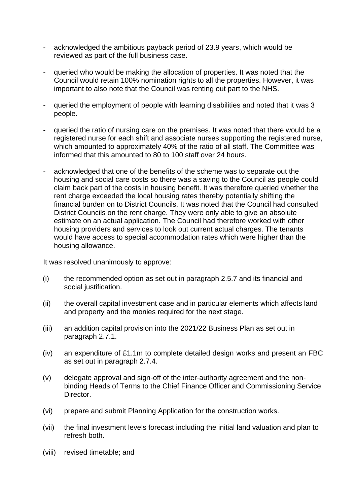- acknowledged the ambitious payback period of 23.9 years, which would be reviewed as part of the full business case.
- queried who would be making the allocation of properties. It was noted that the Council would retain 100% nomination rights to all the properties. However, it was important to also note that the Council was renting out part to the NHS.
- queried the employment of people with learning disabilities and noted that it was 3 people.
- queried the ratio of nursing care on the premises. It was noted that there would be a registered nurse for each shift and associate nurses supporting the registered nurse, which amounted to approximately 40% of the ratio of all staff. The Committee was informed that this amounted to 80 to 100 staff over 24 hours.
- acknowledged that one of the benefits of the scheme was to separate out the housing and social care costs so there was a saving to the Council as people could claim back part of the costs in housing benefit. It was therefore queried whether the rent charge exceeded the local housing rates thereby potentially shifting the financial burden on to District Councils. It was noted that the Council had consulted District Councils on the rent charge. They were only able to give an absolute estimate on an actual application. The Council had therefore worked with other housing providers and services to look out current actual charges. The tenants would have access to special accommodation rates which were higher than the housing allowance.

It was resolved unanimously to approve:

- (i) the recommended option as set out in paragraph 2.5.7 and its financial and social justification.
- (ii) the overall capital investment case and in particular elements which affects land and property and the monies required for the next stage.
- (iii) an addition capital provision into the 2021/22 Business Plan as set out in paragraph 2.7.1.
- (iv) an expenditure of £1.1m to complete detailed design works and present an FBC as set out in paragraph 2.7.4.
- (v) delegate approval and sign-off of the inter-authority agreement and the nonbinding Heads of Terms to the Chief Finance Officer and Commissioning Service Director.
- (vi) prepare and submit Planning Application for the construction works.
- (vii) the final investment levels forecast including the initial land valuation and plan to refresh both.
- (viii) revised timetable; and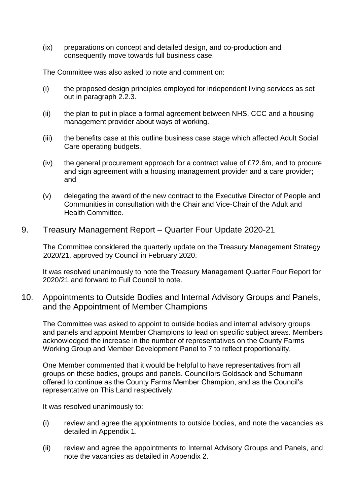(ix) preparations on concept and detailed design, and co-production and consequently move towards full business case.

The Committee was also asked to note and comment on:

- (i) the proposed design principles employed for independent living services as set out in paragraph 2.2.3.
- (ii) the plan to put in place a formal agreement between NHS, CCC and a housing management provider about ways of working.
- (iii) the benefits case at this outline business case stage which affected Adult Social Care operating budgets.
- (iv) the general procurement approach for a contract value of £72.6m, and to procure and sign agreement with a housing management provider and a care provider; and
- (v) delegating the award of the new contract to the Executive Director of People and Communities in consultation with the Chair and Vice-Chair of the Adult and Health Committee.

#### 9. Treasury Management Report – Quarter Four Update 2020-21

The Committee considered the quarterly update on the Treasury Management Strategy 2020/21, approved by Council in February 2020.

It was resolved unanimously to note the Treasury Management Quarter Four Report for 2020/21 and forward to Full Council to note.

#### 10. Appointments to Outside Bodies and Internal Advisory Groups and Panels, and the Appointment of Member Champions

The Committee was asked to appoint to outside bodies and internal advisory groups and panels and appoint Member Champions to lead on specific subject areas. Members acknowledged the increase in the number of representatives on the County Farms Working Group and Member Development Panel to 7 to reflect proportionality.

One Member commented that it would be helpful to have representatives from all groups on these bodies, groups and panels. Councillors Goldsack and Schumann offered to continue as the County Farms Member Champion, and as the Council's representative on This Land respectively.

It was resolved unanimously to:

- (i) review and agree the appointments to outside bodies, and note the vacancies as detailed in Appendix 1.
- (ii) review and agree the appointments to Internal Advisory Groups and Panels, and note the vacancies as detailed in Appendix 2.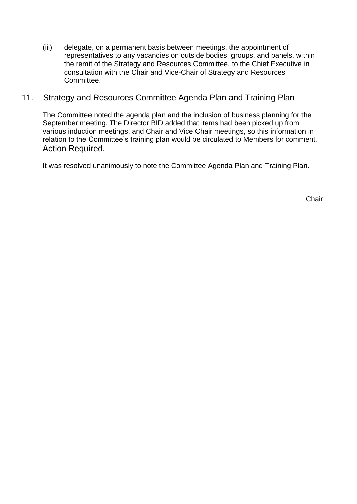(iii) delegate, on a permanent basis between meetings, the appointment of representatives to any vacancies on outside bodies, groups, and panels, within the remit of the Strategy and Resources Committee, to the Chief Executive in consultation with the Chair and Vice-Chair of Strategy and Resources Committee.

## 11. Strategy and Resources Committee Agenda Plan and Training Plan

The Committee noted the agenda plan and the inclusion of business planning for the September meeting. The Director BID added that items had been picked up from various induction meetings, and Chair and Vice Chair meetings, so this information in relation to the Committee's training plan would be circulated to Members for comment. Action Required.

It was resolved unanimously to note the Committee Agenda Plan and Training Plan.

Chair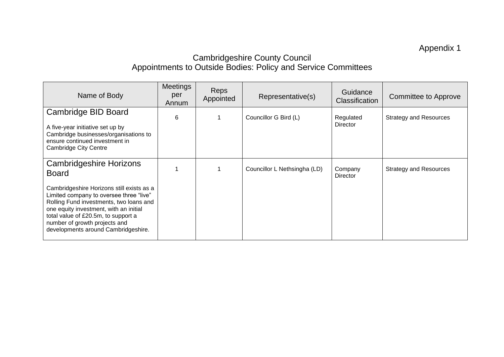Appendix 1

# Cambridgeshire County Council Appointments to Outside Bodies: Policy and Service Committees

| Name of Body                                                                                                                                                                                                                                                                             | <b>Meetings</b><br>per<br>Annum | <b>Reps</b><br>Appointed | Representative(s)            | Guidance<br>Classification | <b>Committee to Approve</b>   |
|------------------------------------------------------------------------------------------------------------------------------------------------------------------------------------------------------------------------------------------------------------------------------------------|---------------------------------|--------------------------|------------------------------|----------------------------|-------------------------------|
| Cambridge BID Board<br>A five-year initiative set up by<br>Cambridge businesses/organisations to<br>ensure continued investment in<br><b>Cambridge City Centre</b>                                                                                                                       | 6                               |                          | Councillor G Bird (L)        | Regulated<br>Director      | <b>Strategy and Resources</b> |
| <b>Cambridgeshire Horizons</b><br><b>Board</b>                                                                                                                                                                                                                                           |                                 |                          | Councillor L Nethsingha (LD) | Company<br>Director        | <b>Strategy and Resources</b> |
| Cambridgeshire Horizons still exists as a<br>Limited company to oversee three "live"<br>Rolling Fund investments, two loans and<br>one equity investment, with an initial<br>total value of £20.5m, to support a<br>number of growth projects and<br>developments around Cambridgeshire. |                                 |                          |                              |                            |                               |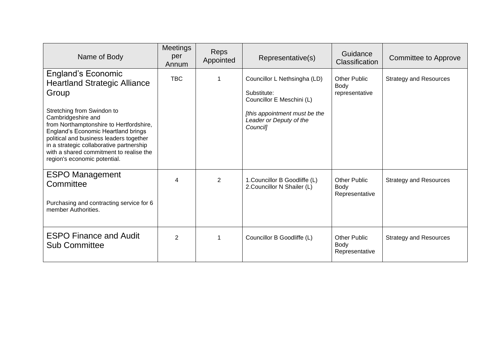| Name of Body                                                                                                                                                                                                                                                                                                                                                                      | <b>Meetings</b><br>per<br>Annum | <b>Reps</b><br>Appointed | Representative(s)                                                                                                                                | Guidance<br><b>Classification</b>             | Committee to Approve          |
|-----------------------------------------------------------------------------------------------------------------------------------------------------------------------------------------------------------------------------------------------------------------------------------------------------------------------------------------------------------------------------------|---------------------------------|--------------------------|--------------------------------------------------------------------------------------------------------------------------------------------------|-----------------------------------------------|-------------------------------|
| <b>England's Economic</b><br><b>Heartland Strategic Alliance</b><br>Group<br>Stretching from Swindon to<br>Cambridgeshire and<br>from Northamptonshire to Hertfordshire,<br>England's Economic Heartland brings<br>political and business leaders together<br>in a strategic collaborative partnership<br>with a shared commitment to realise the<br>region's economic potential. | <b>TBC</b>                      |                          | Councillor L Nethsingha (LD)<br>Substitute:<br>Councillor E Meschini (L)<br>[this appointment must be the<br>Leader or Deputy of the<br>Council] | <b>Other Public</b><br>Body<br>representative | <b>Strategy and Resources</b> |
| <b>ESPO Management</b><br>Committee<br>Purchasing and contracting service for 6<br>member Authorities.                                                                                                                                                                                                                                                                            | 4                               | $\overline{2}$           | 1. Councillor B Goodliffe (L)<br>2. Councillor N Shailer (L)                                                                                     | <b>Other Public</b><br>Body<br>Representative | <b>Strategy and Resources</b> |
| <b>ESPO Finance and Audit</b><br><b>Sub Committee</b>                                                                                                                                                                                                                                                                                                                             | $\overline{2}$                  |                          | Councillor B Goodliffe (L)                                                                                                                       | <b>Other Public</b><br>Body<br>Representative | <b>Strategy and Resources</b> |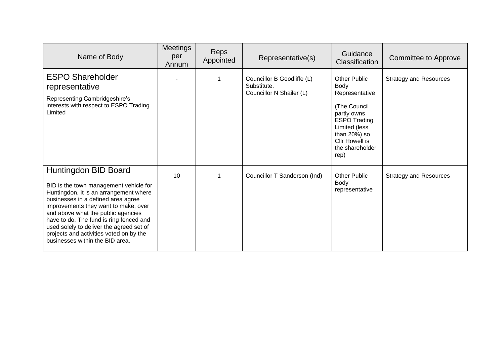| Name of Body                                                                                                                                                                                                                                                                                                                                                                                      | <b>Meetings</b><br>per<br>Annum | Reps<br>Appointed | Representative(s)                                                     | Guidance<br>Classification                                                                                                                                                                          | <b>Committee to Approve</b>   |
|---------------------------------------------------------------------------------------------------------------------------------------------------------------------------------------------------------------------------------------------------------------------------------------------------------------------------------------------------------------------------------------------------|---------------------------------|-------------------|-----------------------------------------------------------------------|-----------------------------------------------------------------------------------------------------------------------------------------------------------------------------------------------------|-------------------------------|
| <b>ESPO Shareholder</b><br>representative<br>Representing Cambridgeshire's<br>interests with respect to ESPO Trading<br>Limited                                                                                                                                                                                                                                                                   |                                 |                   | Councillor B Goodliffe (L)<br>Substitute.<br>Councillor N Shailer (L) | <b>Other Public</b><br><b>Body</b><br>Representative<br>(The Council<br>partly owns<br><b>ESPO Trading</b><br>Limited (less<br>than $20\%$ ) so<br><b>Cllr Howell is</b><br>the shareholder<br>rep) | <b>Strategy and Resources</b> |
| Huntingdon BID Board<br>BID is the town management vehicle for<br>Huntingdon. It is an arrangement where<br>businesses in a defined area agree<br>improvements they want to make, over<br>and above what the public agencies<br>have to do. The fund is ring fenced and<br>used solely to deliver the agreed set of<br>projects and activities voted on by the<br>businesses within the BID area. | 10                              |                   | Councillor T Sanderson (Ind)                                          | <b>Other Public</b><br><b>Body</b><br>representative                                                                                                                                                | <b>Strategy and Resources</b> |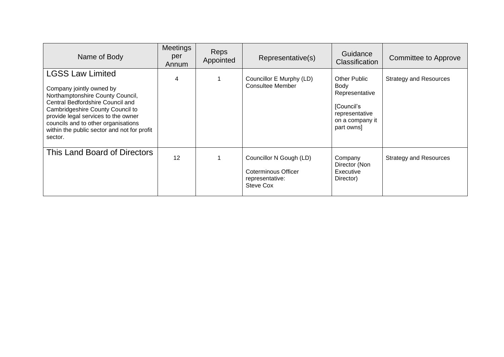| Name of Body                                                                                                                                                                                                                                                                                            | <b>Meetings</b><br>per<br>Annum | <b>Reps</b><br>Appointed | Representative(s)                                                              | Guidance<br><b>Classification</b>                                                                              | <b>Committee to Approve</b>   |
|---------------------------------------------------------------------------------------------------------------------------------------------------------------------------------------------------------------------------------------------------------------------------------------------------------|---------------------------------|--------------------------|--------------------------------------------------------------------------------|----------------------------------------------------------------------------------------------------------------|-------------------------------|
| <b>LGSS Law Limited</b><br>Company jointly owned by<br>Northamptonshire County Council,<br>Central Bedfordshire Council and<br>Cambridgeshire County Council to<br>provide legal services to the owner<br>councils and to other organisations<br>within the public sector and not for profit<br>sector. | 4                               |                          | Councillor E Murphy (LD)<br><b>Consultee Member</b>                            | <b>Other Public</b><br>Body<br>Representative<br>[Council's<br>representative<br>on a company it<br>part owns] | <b>Strategy and Resources</b> |
| This Land Board of Directors                                                                                                                                                                                                                                                                            | 12                              |                          | Councillor N Gough (LD)<br>Coterminous Officer<br>representative:<br>Steve Cox | Company<br>Director (Non<br>Executive<br>Director)                                                             | <b>Strategy and Resources</b> |